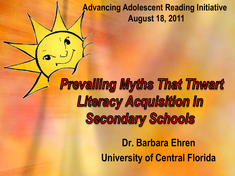#### **Advancing Adolescent Reading Initiative August 18, 2011**

**Prevailing Myths That Thwart Literacy Acquisition in Secondary Schools** 

> **Dr. Barbara Ehren University of Central Florida**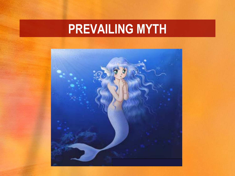### **PREVAILING MYTH**

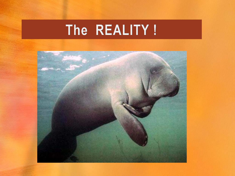# The REALITY!

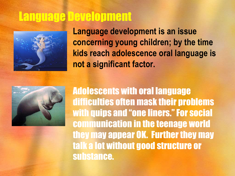#### Language Development



**Language development is an issue concerning young children; by the time kids reach adolescence oral language is not a significant factor.** 



Adolescents with oral language difficulties often mask their problems with quips and "one liners." For social communication in the teenage world they may appear OK. Further they may talk a lot without good structure or substance.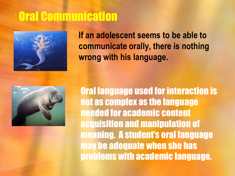# Oral Communication



**If an adolescent seems to be able to communicate orally, there is nothing wrong with his language.** 



Oral language used for interaction is not as complex as the language needed for academic content acquisition and manipulation of meaning. A student's oral language may be adequate when she has problems with academic language.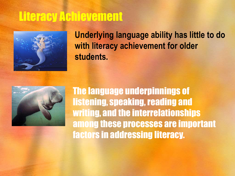### Literacy Achievement



**Underlying language ability has little to do with literacy achievement for older students.** 



The language underpinnings of listening, speaking, reading and writing, and the interrelationships among these processes are important factors in addressing literacy.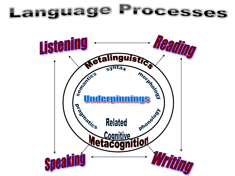Language Processes

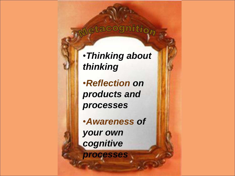#### Metacognition

•*Thinking about thinking* 

•*Reflection on products and processes* 

•*Awareness of your own cognitive processes*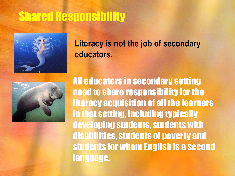### Shared Responsibility



#### **Literacy is not the job of secondary educators.**



All educators in secondary setting need to share responsibility for the literacy acquisition of all the learners in that setting, including typically developing students, students with disabilities, students of poverty and students for whom English is a second language.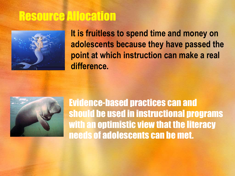### Resource Allocation



**It is fruitless to spend time and money on adolescents because they have passed the point at which instruction can make a real difference.** 



Evidence-based practices can and should be used in instructional programs with an optimistic view that the literacy needs of adolescents can be met.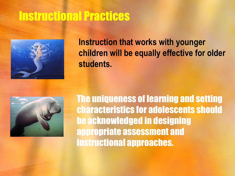#### Instructional Practices



#### **Instruction that works with younger children will be equally effective for older students.**



The uniqueness of learning and setting characteristics for adolescents should be acknowledged in designing appropriate assessment and instructional approaches.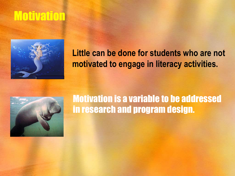### Motivation



#### **Little can be done for students who are not motivated to engage in literacy activities.**



#### Motivation is a variable to be addressed in research and program design.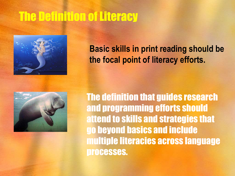# The Definition of Literacy



**Basic skills in print reading should be the focal point of literacy efforts.** 



The definition that guides research and programming efforts should attend to skills and strategies that go beyond basics and include multiple literacies across language processes.